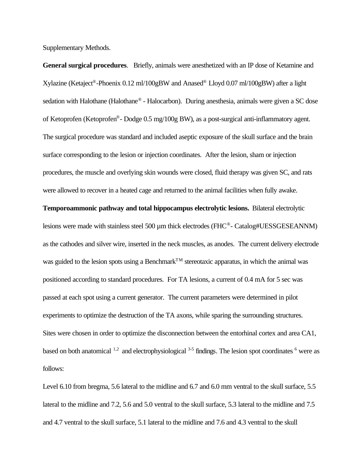Supplementary Methods.

**General surgical procedures**. Briefly, animals were anesthetized with an IP dose of Ketamine and Xylazine (Ketaject® -Phoenix 0.12 ml/100gBW and Anased® Lloyd 0.07 ml/100gBW) after a light sedation with Halothane (Halothane<sup>®</sup> - Halocarbon). During anesthesia, animals were given a SC dose of Ketoprofen (Ketoprofen® - Dodge 0.5 mg/100g BW), as a post-surgical anti-inflammatory agent. The surgical procedure was standard and included aseptic exposure of the skull surface and the brain surface corresponding to the lesion or injection coordinates. After the lesion, sham or injection procedures, the muscle and overlying skin wounds were closed, fluid therapy was given SC, and rats were allowed to recover in a heated cage and returned to the animal facilities when fully awake.

## **Temporoammonic pathway and total hippocampus electrolytic lesions.** Bilateral electrolytic

lesions were made with stainless steel 500 µm thick electrodes (FHC®- Catalog#UESSGESEANNM) as the cathodes and silver wire, inserted in the neck muscles, as anodes. The current delivery electrode was guided to the lesion spots using a Benchmark<sup>TM</sup> stereotaxic apparatus, in which the animal was positioned according to standard procedures. For TA lesions, a current of 0.4 mA for 5 sec was passed at each spot using a current generator. The current parameters were determined in pilot experiments to optimize the destruction of the TA axons, while sparing the surrounding structures. Sites were chosen in order to optimize the disconnection between the entorhinal cortex and area CA1, based on both anatomical  $^{1,2}$  and electrophysiological  $^{3.5}$  findings. The lesion spot coordinates  $^6$  were as follows:

Level 6.10 from bregma, 5.6 lateral to the midline and 6.7 and 6.0 mm ventral to the skull surface, 5.5 lateral to the midline and 7.2, 5.6 and 5.0 ventral to the skull surface, 5.3 lateral to the midline and 7.5 and 4.7 ventral to the skull surface, 5.1 lateral to the midline and 7.6 and 4.3 ventral to the skull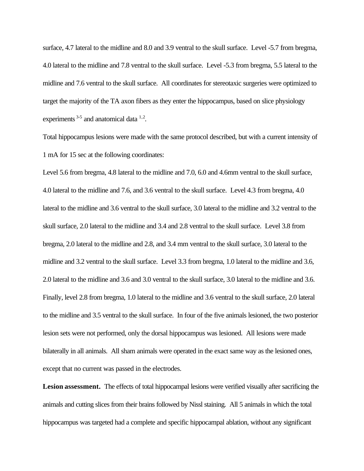surface, 4.7 lateral to the midline and 8.0 and 3.9 ventral to the skull surface. Level -5.7 from bregma, 4.0 lateral to the midline and 7.8 ventral to the skull surface. Level -5.3 from bregma, 5.5 lateral to the midline and 7.6 ventral to the skull surface. All coordinates for stereotaxic surgeries were optimized to target the majority of the TA axon fibers as they enter the hippocampus, based on slice physiology experiments  $3-5$  and anatomical data  $1.2$ .

Total hippocampus lesions were made with the same protocol described, but with a current intensity of 1 mA for 15 sec at the following coordinates:

Level 5.6 from bregma, 4.8 lateral to the midline and 7.0, 6.0 and 4.6mm ventral to the skull surface, 4.0 lateral to the midline and 7.6, and 3.6 ventral to the skull surface. Level 4.3 from bregma, 4.0 lateral to the midline and 3.6 ventral to the skull surface, 3.0 lateral to the midline and 3.2 ventral to the skull surface, 2.0 lateral to the midline and 3.4 and 2.8 ventral to the skull surface. Level 3.8 from bregma, 2.0 lateral to the midline and 2.8, and 3.4 mm ventral to the skull surface, 3.0 lateral to the midline and 3.2 ventral to the skull surface. Level 3.3 from bregma, 1.0 lateral to the midline and 3.6, 2.0 lateral to the midline and 3.6 and 3.0 ventral to the skull surface, 3.0 lateral to the midline and 3.6. Finally, level 2.8 from bregma, 1.0 lateral to the midline and 3.6 ventral to the skull surface, 2.0 lateral to the midline and 3.5 ventral to the skull surface. In four of the five animals lesioned, the two posterior lesion sets were not performed, only the dorsal hippocampus was lesioned. All lesions were made bilaterally in all animals. All sham animals were operated in the exact same way as the lesioned ones, except that no current was passed in the electrodes.

**Lesion assessment.** The effects of total hippocampal lesions were verified visually after sacrificing the animals and cutting slices from their brains followed by Nissl staining. All 5 animals in which the total hippocampus was targeted had a complete and specific hippocampal ablation, without any significant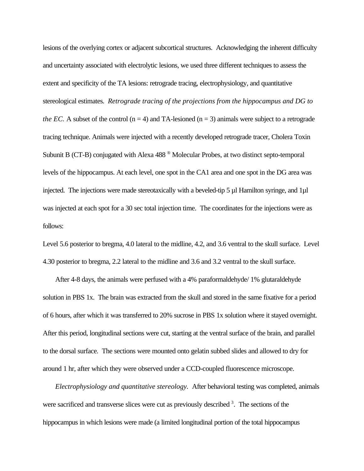lesions of the overlying cortex or adjacent subcortical structures. Acknowledging the inherent difficulty and uncertainty associated with electrolytic lesions, we used three different techniques to assess the extent and specificity of the TA lesions: retrograde tracing, electrophysiology, and quantitative stereological estimates.*Retrograde tracing of the projections from the hippocampus and DG to the EC.* A subset of the control  $(n = 4)$  and TA-lesioned  $(n = 3)$  animals were subject to a retrograde tracing technique. Animals were injected with a recently developed retrograde tracer, Cholera Toxin Subunit B (CT-B) conjugated with Alexa 488<sup><sup>®</sup> Molecular Probes, at two distinct septo-temporal</sup> levels of the hippocampus. At each level, one spot in the CA1 area and one spot in the DG area was injected. The injections were made stereotaxically with a beveled-tip 5 µl Hamilton syringe, and 1µl was injected at each spot for a 30 sec total injection time. The coordinates for the injections were as follows:

Level 5.6 posterior to bregma, 4.0 lateral to the midline, 4.2, and 3.6 ventral to the skull surface. Level 4.30 posterior to bregma, 2.2 lateral to the midline and 3.6 and 3.2 ventral to the skull surface.

After 4-8 days, the animals were perfused with a 4% paraformaldehyde/ 1% glutaraldehyde solution in PBS 1x. The brain was extracted from the skull and stored in the same fixative for a period of 6 hours, after which it was transferred to 20% sucrose in PBS 1x solution where it stayed overnight. After this period, longitudinal sections were cut, starting at the ventral surface of the brain, and parallel to the dorsal surface. The sections were mounted onto gelatin subbed slides and allowed to dry for around 1 hr, after which they were observed under a CCD-coupled fluorescence microscope.

*Electrophysiology and quantitative stereology.* After behavioral testing was completed, animals were sacrificed and transverse slices were cut as previously described <sup>3</sup>. The sections of the hippocampus in which lesions were made (a limited longitudinal portion of the total hippocampus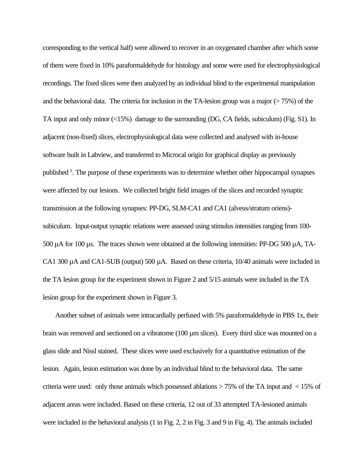corresponding to the vertical half) were allowed to recover in an oxygenated chamber after which some of them were fixed in 10% paraformaldehyde for histology and some were used for electrophysiological recordings. The fixed slices were then analyzed by an individual blind to the experimental manipulation and the behavioral data. The criteria for inclusion in the TA-lesion group was a major  $(> 75%)$  of the TA input and only minor (<15%) damage to the surrounding (DG, CA fields, subiculum) (Fig. S1). In adjacent (non-fixed) slices, electrophysiological data were collected and analysed with in-house software built in Labview, and transferred to Microcal origin for graphical display as previously published<sup>5</sup>. The purpose of these experiments was to determine whether other hippocampal synapses were affected by our lesions. We collected bright field images of the slices and recorded synaptic transmission at the following synapses: PP-DG, SLM-CA1 and CA1 (alveus/stratum oriens) subiculum. Input-output synaptic relations were assessed using stimulus intensities ranging from 100- 500 µA for 100 µs. The traces shown were obtained at the following intensities: PP-DG 500 µA, TA-CA1 300 µA and CA1-SUB (output) 500 µA. Based on these criteria, 10/40 animals were included in the TA lesion group for the experiment shown in Figure 2 and 5/15 animals were included in the TA lesion group for the experiment shown in Figure 3.

Another subset of animals were intracardially perfused with 5% paraformaldehyde in PBS 1x, their brain was removed and sectioned on a vibratome  $(100 \,\mu m)$  slices). Every third slice was mounted on a glass slide and Nissl stained. These slices were used exclusively for a quantitative estimation of the lesion. Again, lesion estimation was done by an individual blind to the behavioral data. The same criteria were used: only those animals which possessed ablations > 75% of the TA input and < 15% of adjacent areas were included. Based on these criteria, 12 out of 33 attempted TA-lesioned animals were included in the behavioral analysis (1 in Fig. 2, 2 in Fig. 3 and 9 in Fig. 4). The animals included